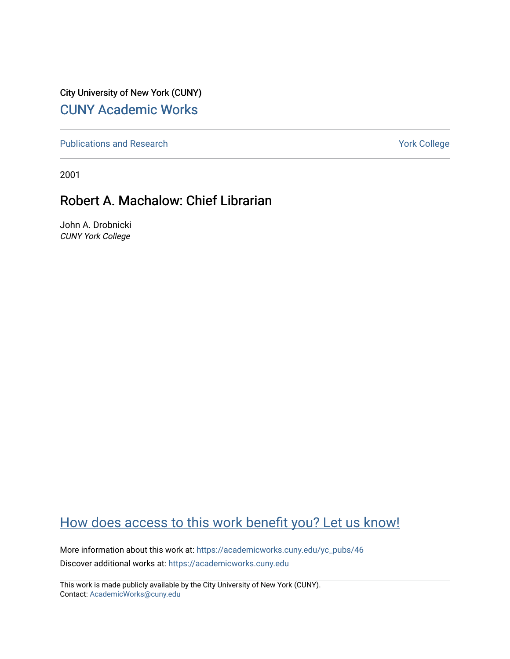City University of New York (CUNY) [CUNY Academic Works](https://academicworks.cuny.edu/) 

[Publications and Research](https://academicworks.cuny.edu/yc_pubs) Theorem 2012 Contract College Vork College

2001

### Robert A. Machalow: Chief Librarian

John A. Drobnicki CUNY York College

## [How does access to this work benefit you? Let us know!](http://ols.cuny.edu/academicworks/?ref=https://academicworks.cuny.edu/yc_pubs/46)

More information about this work at: [https://academicworks.cuny.edu/yc\\_pubs/46](https://academicworks.cuny.edu/yc_pubs/46)  Discover additional works at: [https://academicworks.cuny.edu](https://academicworks.cuny.edu/?)

This work is made publicly available by the City University of New York (CUNY). Contact: [AcademicWorks@cuny.edu](mailto:AcademicWorks@cuny.edu)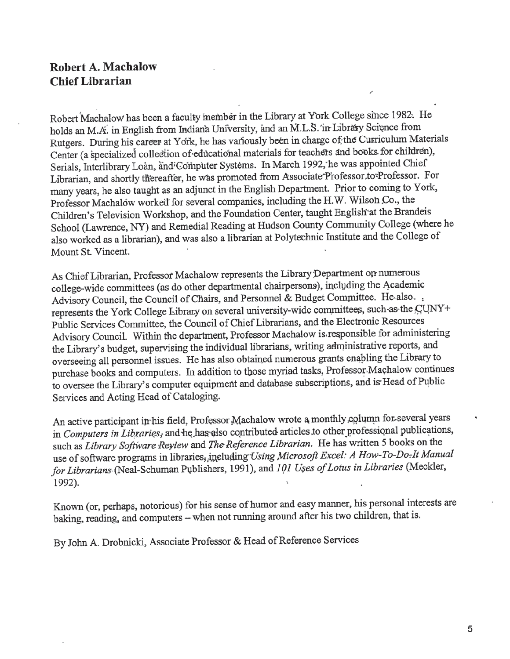#### **Robert A. Machalow Chief Librarian**

Robert Machalow has been a faculty member in the Library at York College since 1982. He holds an M.A. in English from Indiana University, and an M.L.S. in Library Science from Rutgers. During his career at York, he has variously been in charge of the Curriculum Materials Center (a specialized collection of educational materials for teachers and books for children), Serials, Interlibrary Loan, and Computer Systems. In March 1992, he was appointed Chief Librarian, and shortly thereafter, he was promoted from Associate Professor to Professor. For many years, he also taught as an adjunct in the English Department. Prior to coming to York, Professor Machalow worked'for several companies, including the H.W. Wilsoh Co., the Children's Television Workshop, and the Foundation Center, taught English'at the Brandeis School (Lawrence, NY) and Remedial Reading at Hudson County Community College (where he also worked as a librarian), and was also a librarian at Polytechnic Institute and the College of Mount St. Vincent.

As Chief Librarian, Professor Machalow represents the Library Department op-numerous college-wide committees (as do other departmental chairpersons), including the Academic Advisory Council, the Council of Chairs, and Personnel & Budget Committee. He also. represents the York College Library on several university-wide committees, such as the CUNY+ Public Services Committee, the Council of Chief Librarians, and the Electronic Resources Advisory Council. Within the department. Professor Machalow is.responsible for administering the Library's budget, supervising the individual librarians, writing administrative reports, and overseeing all personnel issues. He has also obtained numerous grants enabling the Library to purchase books and computers. In addition to those myriad tasks, Professor-Machalow continues to oversee the Library's computer equipment and database subscriptions, and is'Head of Public Services and Acting Head of Cataloging.

An active participant in his field, Professor Machalow wrote a monthly column for several years in *Computers in Libraries*, and he has also contributed articles to other professional publications, such as *Library Software Review* and *The Reference Librarian*. He has written 5 books on the use of software programs in libraries<sub>i</sub>,ineluding Using Microsoft Excel: A How-To-Do-It Manual for Librarians (Neal-Schuman Publishers, 1991), and 101 Uses of Lotus in Libraries (Meckler, 1992).

Known (or, perhaps, notorious) for his sense of humor and easy manner, his personal interests are baking, reading, and computers -- when not running around after his two children, that is.

By John A. Drobnicki, Associate Professor & Head of Reference Services